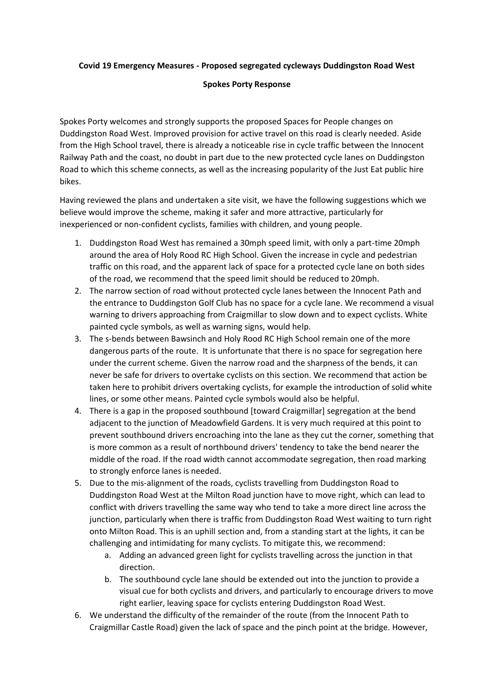## **Covid 19 Emergency Measures - Proposed segregated cycleways Duddingston Road West**

## **Spokes Porty Response**

Spokes Porty welcomes and strongly supports the proposed Spaces for People changes on Duddingston Road West. Improved provision for active travel on this road is clearly needed. Aside from the High School travel, there is already a noticeable rise in cycle traffic between the Innocent Railway Path and the coast, no doubt in part due to the new protected cycle lanes on Duddingston Road to which this scheme connects, as well as the increasing popularity of the Just Eat public hire bikes.

Having reviewed the plans and undertaken a site visit, we have the following suggestions which we believe would improve the scheme, making it safer and more attractive, particularly for inexperienced or non-confident cyclists, families with children, and young people.

- 1. Duddingston Road West has remained a 30mph speed limit, with only a part-time 20mph around the area of Holy Rood RC High School. Given the increase in cycle and pedestrian traffic on this road, and the apparent lack of space for a protected cycle lane on both sides of the road, we recommend that the speed limit should be reduced to 20mph.
- 2. The narrow section of road without protected cycle lanes between the Innocent Path and the entrance to Duddingston Golf Club has no space for a cycle lane. We recommend a visual warning to drivers approaching from Craigmillar to slow down and to expect cyclists. White painted cycle symbols, as well as warning signs, would help.
- 3. The s-bends between Bawsinch and Holy Rood RC High School remain one of the more dangerous parts of the route. It is unfortunate that there is no space for segregation here under the current scheme. Given the narrow road and the sharpness of the bends, it can never be safe for drivers to overtake cyclists on this section. We recommend that action be taken here to prohibit drivers overtaking cyclists, for example the introduction of solid white lines, or some other means. Painted cycle symbols would also be helpful.
- 4. There is a gap in the proposed southbound [toward Craigmillar] segregation at the bend adjacent to the junction of Meadowfield Gardens. It is very much required at this point to prevent southbound drivers encroaching into the lane as they cut the corner, something that is more common as a result of northbound drivers' tendency to take the bend nearer the middle of the road. If the road width cannot accommodate segregation, then road marking to strongly enforce lanes is needed.
- 5. Due to the mis-alignment of the roads, cyclists travelling from Duddingston Road to Duddingston Road West at the Milton Road junction have to move right, which can lead to conflict with drivers travelling the same way who tend to take a more direct line across the junction, particularly when there is traffic from Duddingston Road West waiting to turn right onto Milton Road. This is an uphill section and, from a standing start at the lights, it can be challenging and intimidating for many cyclists. To mitigate this, we recommend:
	- a. Adding an advanced green light for cyclists travelling across the junction in that direction.
	- b. The southbound cycle lane should be extended out into the junction to provide a visual cue for both cyclists and drivers, and particularly to encourage drivers to move right earlier, leaving space for cyclists entering Duddingston Road West.
- 6. We understand the difficulty of the remainder of the route (from the Innocent Path to Craigmillar Castle Road) given the lack of space and the pinch point at the bridge. However,